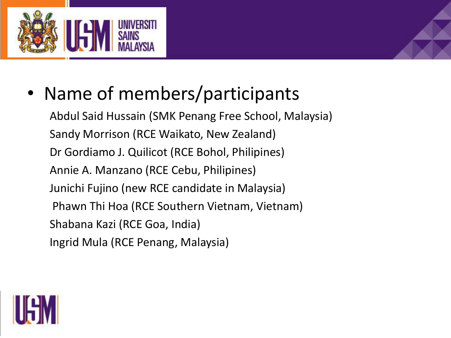

• Name of members/participants

Abdul Said Hussain (SMK Penang Free School, Malaysia) Sandy Morrison (RCE Waikato, New Zealand) Dr Gordiamo J. Quilicot (RCE Bohol, Philipines) Annie A. Manzano (RCE Cebu, Philipines) Junichi Fujino (new RCE candidate in Malaysia) Phawn Thi Hoa (RCE Southern Vietnam, Vietnam) Shabana Kazi (RCE Goa, India) Ingrid Mula (RCE Penang, Malaysia)

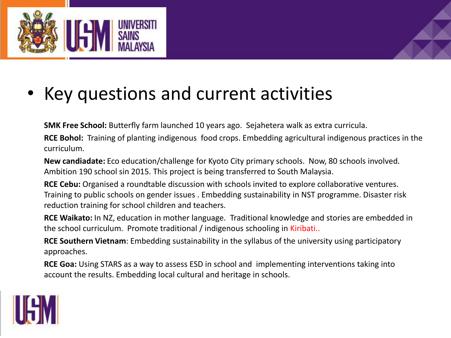

## • Key questions and current activities

**SMK Free School:** Butterfly farm launched 10 years ago. Sejahetera walk as extra curricula.

**RCE Bohol:** Training of planting indigenous food crops. Embedding agricultural indigenous practices in the curriculum.

**New candiadate:** Eco education/challenge for Kyoto City primary schools. Now, 80 schools involved. Ambition 190 school sin 2015. This project is being transferred to South Malaysia.

**RCE Cebu:** Organised a roundtable discussion with schools invited to explore collaborative ventures. Training to public schools on gender issues . Embedding sustainability in NST programme. Disaster risk reduction training for school children and teachers.

**RCE Waikato:** In NZ, education in mother language. Traditional knowledge and stories are embedded in the school curriculum. Promote traditional / indigenous schooling in Kiribati..

**RCE Southern Vietnam**: Embedding sustainability in the syllabus of the university using participatory approaches.

**RCE Goa:** Using STARS as a way to assess ESD in school and implementing interventions taking into account the results. Embedding local cultural and heritage in schools.

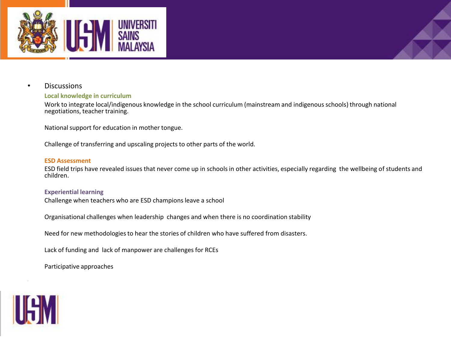

### • Discussions

#### **Local knowledge in curriculum**

Work to integrate local/indigenous knowledge in the school curriculum (mainstream and indigenous schools) through national negotiations, teacher training.

National support for education in mother tongue.

Challenge of transferring and upscaling projects to other parts of the world.

#### **ESD Assessment**

ESD field trips have revealed issues that never come up in schools in other activities, especially regarding the wellbeing of students and children.

#### **Experiential learning**

Challenge when teachers who are ESD champions leave a school

Organisational challenges when leadership changes and when there is no coordination stability

Need for new methodologies to hear the stories of children who have suffered from disasters.

Lack of funding and lack of manpower are challenges for RCEs

Participative approaches



-